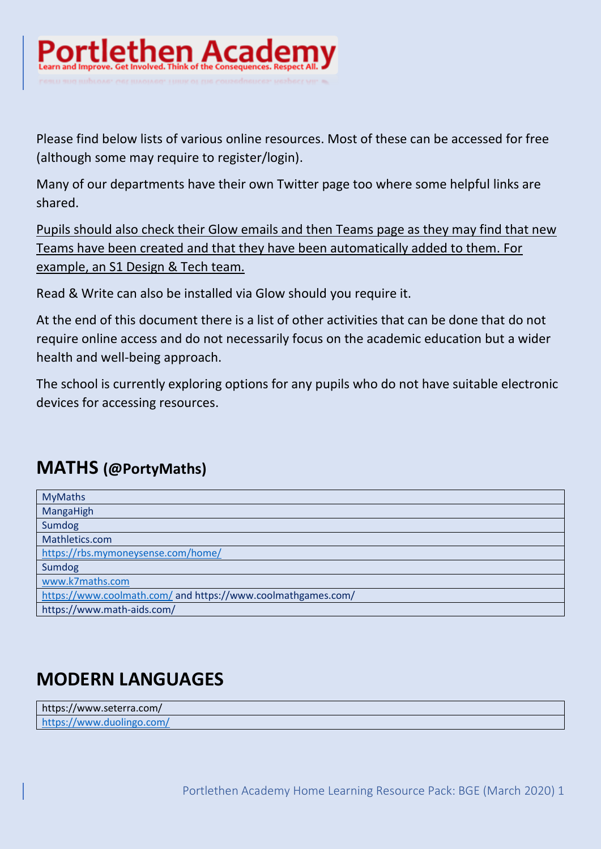

Please find below lists of various online resources. Most of these can be accessed for free (although some may require to register/login).

Many of our departments have their own Twitter page too where some helpful links are shared.

Pupils should also check their Glow emails and then Teams page as they may find that new Teams have been created and that they have been automatically added to them. For example, an S1 Design & Tech team.

Read & Write can also be installed via Glow should you require it.

At the end of this document there is a list of other activities that can be done that do not require online access and do not necessarily focus on the academic education but a wider health and well-being approach.

The school is currently exploring options for any pupils who do not have suitable electronic devices for accessing resources.

#### **MATHS (@PortyMaths)**

| <b>MyMaths</b>                                               |
|--------------------------------------------------------------|
| MangaHigh                                                    |
| Sumdog                                                       |
| Mathletics.com                                               |
| https://rbs.mymoneysense.com/home/                           |
| Sumdog                                                       |
| www.k7maths.com                                              |
| https://www.coolmath.com/ and https://www.coolmathgames.com/ |
| https://www.math-aids.com/                                   |

## **MODERN LANGUAGES**

| https://www.seterra.com/  |  |
|---------------------------|--|
| https://www.duolingo.com/ |  |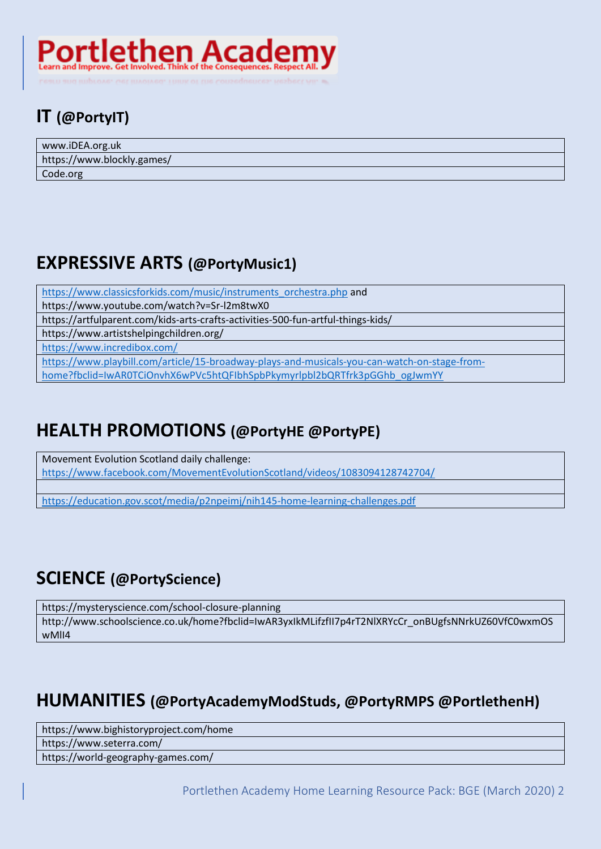

## **IT (@PortyIT)**

| www.iDEA.org.uk            |  |
|----------------------------|--|
| https://www.blockly.games/ |  |
| Code.org                   |  |

#### **EXPRESSIVE ARTS (@PortyMusic1)**

[https://www.classicsforkids.com/music/instruments\\_orchestra.php](https://www.classicsforkids.com/music/instruments_orchestra.php) and

https://www.youtube.com/watch?v=Sr-l2m8twX0

https://artfulparent.com/kids-arts-crafts-activities-500-fun-artful-things-kids/

https://www.artistshelpingchildren.org/

<https://www.incredibox.com/>

[https://www.playbill.com/article/15-broadway-plays-and-musicals-you-can-watch-on-stage-from](https://www.playbill.com/article/15-broadway-plays-and-musicals-you-can-watch-on-stage-from-home?fbclid=IwAR0TCiOnvhX6wPVc5htQFIbhSpbPkymyrlpbl2bQRTfrk3pGGhb_ogJwmYY)[home?fbclid=IwAR0TCiOnvhX6wPVc5htQFIbhSpbPkymyrlpbl2bQRTfrk3pGGhb\\_ogJwmYY](https://www.playbill.com/article/15-broadway-plays-and-musicals-you-can-watch-on-stage-from-home?fbclid=IwAR0TCiOnvhX6wPVc5htQFIbhSpbPkymyrlpbl2bQRTfrk3pGGhb_ogJwmYY)

#### **HEALTH PROMOTIONS (@PortyHE @PortyPE)**

Movement Evolution Scotland daily challenge: <https://www.facebook.com/MovementEvolutionScotland/videos/1083094128742704/>

<https://education.gov.scot/media/p2npeimj/nih145-home-learning-challenges.pdf>

#### **SCIENCE (@PortyScience)**

https://mysteryscience.com/school-closure-planning http://www.schoolscience.co.uk/home?fbclid=IwAR3yxIkMLifzfII7p4rT2NlXRYcCr\_onBUgfsNNrkUZ60VfC0wxmOS wMlI4

#### **HUMANITIES (@PortyAcademyModStuds, @PortyRMPS @PortlethenH)**

https://www.bighistoryproject.com/home

https://www.seterra.com/

https://world-geography-games.com/

Portlethen Academy Home Learning Resource Pack: BGE (March 2020) 2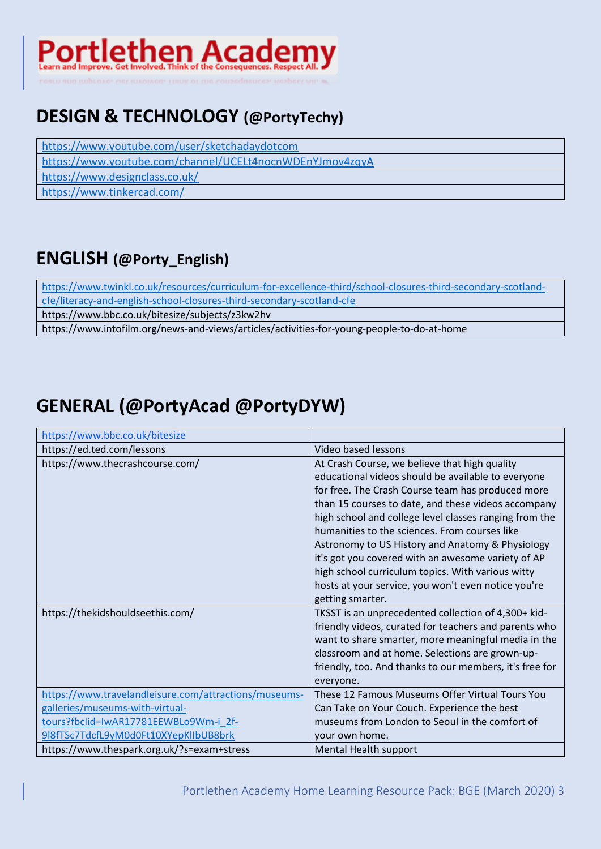## Portlethen Academy

## **DESIGN & TECHNOLOGY (@PortyTechy)**

| https://www.youtube.com/user/sketchadaydotcom |
|-----------------------------------------------|
|-----------------------------------------------|

<https://www.youtube.com/channel/UCELt4nocnWDEnYJmov4zqyA>

<https://www.designclass.co.uk/>

<https://www.tinkercad.com/>

### **ENGLISH (@Porty\_English)**

[https://www.twinkl.co.uk/resources/curriculum-for-excellence-third/school-closures-third-secondary-scotland](https://www.twinkl.co.uk/resources/curriculum-for-excellence-third/school-closures-third-secondary-scotland-cfe/literacy-and-english-school-closures-third-secondary-scotland-cfe)[cfe/literacy-and-english-school-closures-third-secondary-scotland-cfe](https://www.twinkl.co.uk/resources/curriculum-for-excellence-third/school-closures-third-secondary-scotland-cfe/literacy-and-english-school-closures-third-secondary-scotland-cfe) https://www.bbc.co.uk/bitesize/subjects/z3kw2hv https://www.intofilm.org/news-and-views/articles/activities-for-young-people-to-do-at-home

## **GENERAL (@PortyAcad @PortyDYW)**

| https://www.bbc.co.uk/bitesize                        |                                                                                                                                                                                                                                                                                                                                                                                                                                                                                                                                                  |
|-------------------------------------------------------|--------------------------------------------------------------------------------------------------------------------------------------------------------------------------------------------------------------------------------------------------------------------------------------------------------------------------------------------------------------------------------------------------------------------------------------------------------------------------------------------------------------------------------------------------|
| https://ed.ted.com/lessons                            | Video based lessons                                                                                                                                                                                                                                                                                                                                                                                                                                                                                                                              |
| https://www.thecrashcourse.com/                       | At Crash Course, we believe that high quality<br>educational videos should be available to everyone<br>for free. The Crash Course team has produced more<br>than 15 courses to date, and these videos accompany<br>high school and college level classes ranging from the<br>humanities to the sciences. From courses like<br>Astronomy to US History and Anatomy & Physiology<br>it's got you covered with an awesome variety of AP<br>high school curriculum topics. With various witty<br>hosts at your service, you won't even notice you're |
| https://thekidshouldseethis.com/                      | getting smarter.<br>TKSST is an unprecedented collection of 4,300+ kid-<br>friendly videos, curated for teachers and parents who                                                                                                                                                                                                                                                                                                                                                                                                                 |
|                                                       | want to share smarter, more meaningful media in the<br>classroom and at home. Selections are grown-up-                                                                                                                                                                                                                                                                                                                                                                                                                                           |
|                                                       | friendly, too. And thanks to our members, it's free for<br>everyone.                                                                                                                                                                                                                                                                                                                                                                                                                                                                             |
| https://www.travelandleisure.com/attractions/museums- | These 12 Famous Museums Offer Virtual Tours You                                                                                                                                                                                                                                                                                                                                                                                                                                                                                                  |
| galleries/museums-with-virtual-                       | Can Take on Your Couch. Experience the best                                                                                                                                                                                                                                                                                                                                                                                                                                                                                                      |
| tours?fbclid=IwAR17781EEWBLo9Wm-i 2f-                 | museums from London to Seoul in the comfort of                                                                                                                                                                                                                                                                                                                                                                                                                                                                                                   |
| 9I8fTSc7TdcfL9yM0d0Ft10XYepKlIbUB8brk                 | your own home.                                                                                                                                                                                                                                                                                                                                                                                                                                                                                                                                   |
| https://www.thespark.org.uk/?s=exam+stress            | Mental Health support                                                                                                                                                                                                                                                                                                                                                                                                                                                                                                                            |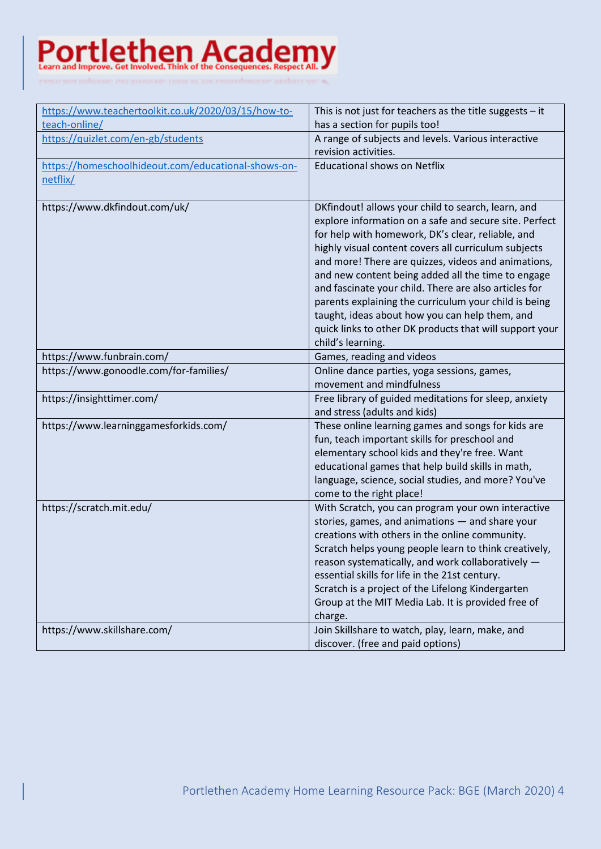# Portlethen Academy

| https://www.teachertoolkit.co.uk/2020/03/15/how-to-<br>teach-online/ | This is not just for teachers as the title suggests $-$ it<br>has a section for pupils too! |
|----------------------------------------------------------------------|---------------------------------------------------------------------------------------------|
| https://quizlet.com/en-gb/students                                   | A range of subjects and levels. Various interactive                                         |
|                                                                      | revision activities.                                                                        |
| https://homeschoolhideout.com/educational-shows-on-                  | <b>Educational shows on Netflix</b>                                                         |
| netflix/                                                             |                                                                                             |
|                                                                      |                                                                                             |
| https://www.dkfindout.com/uk/                                        | DKfindout! allows your child to search, learn, and                                          |
|                                                                      | explore information on a safe and secure site. Perfect                                      |
|                                                                      | for help with homework, DK's clear, reliable, and                                           |
|                                                                      | highly visual content covers all curriculum subjects                                        |
|                                                                      | and more! There are quizzes, videos and animations,                                         |
|                                                                      | and new content being added all the time to engage                                          |
|                                                                      | and fascinate your child. There are also articles for                                       |
|                                                                      | parents explaining the curriculum your child is being                                       |
|                                                                      | taught, ideas about how you can help them, and                                              |
|                                                                      | quick links to other DK products that will support your                                     |
|                                                                      | child's learning.                                                                           |
| https://www.funbrain.com/                                            | Games, reading and videos                                                                   |
| https://www.gonoodle.com/for-families/                               | Online dance parties, yoga sessions, games,                                                 |
|                                                                      | movement and mindfulness                                                                    |
| https://insighttimer.com/                                            | Free library of guided meditations for sleep, anxiety                                       |
|                                                                      | and stress (adults and kids)                                                                |
| https://www.learninggamesforkids.com/                                | These online learning games and songs for kids are                                          |
|                                                                      | fun, teach important skills for preschool and                                               |
|                                                                      | elementary school kids and they're free. Want                                               |
|                                                                      | educational games that help build skills in math,                                           |
|                                                                      | language, science, social studies, and more? You've                                         |
|                                                                      | come to the right place!                                                                    |
| https://scratch.mit.edu/                                             | With Scratch, you can program your own interactive                                          |
|                                                                      | stories, games, and animations - and share your                                             |
|                                                                      | creations with others in the online community.                                              |
|                                                                      | Scratch helps young people learn to think creatively,                                       |
|                                                                      | reason systematically, and work collaboratively -                                           |
|                                                                      | essential skills for life in the 21st century.                                              |
|                                                                      | Scratch is a project of the Lifelong Kindergarten                                           |
|                                                                      | Group at the MIT Media Lab. It is provided free of                                          |
|                                                                      | charge.                                                                                     |
| https://www.skillshare.com/                                          | Join Skillshare to watch, play, learn, make, and                                            |
|                                                                      | discover. (free and paid options)                                                           |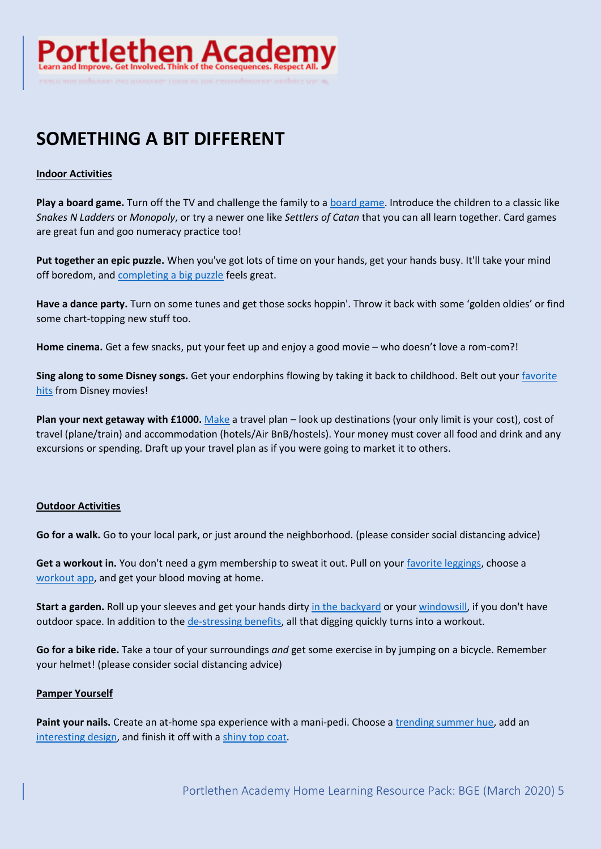

## **SOMETHING A BIT DIFFERENT**

#### **Indoor Activities**

**Play a board game.** Turn off the TV and challenge the family to a [board game.](https://www.goodhousekeeping.com/childrens-products/board-games/g899/best-board-games/) Introduce the children to a classic like *Snakes N Ladders* or *Monopoly*, or try a newer one like *Settlers of Catan* that you can all learn together. Card games are great fun and goo numeracy practice too!

**Put together an epic puzzle.** When you've got lots of time on your hands, get your hands busy. It'll take your mind off boredom, and [completing a big puzzle](https://www.goodhousekeeping.com/life/g22664296/best-jigsaw-puzzles/) feels great.

**Have a dance party.** Turn on some tunes and get those socks hoppin'. Throw it back with some 'golden oldies' or find some chart-topping new stuff too.

**Home cinema.** Get a few snacks, put your feet up and enjoy a good movie – who doesn't love a rom-com?!

**Sing along to some Disney songs.** Get your endorphins flowing by taking it back to childhood. Belt out your [favorite](https://www.goodhousekeeping.com/life/entertainment/g26886855/best-disney-songs/)  [hits](https://www.goodhousekeeping.com/life/entertainment/g26886855/best-disney-songs/) from Disney movies!

**Plan your next getaway with £1000.** [Make](https://www.goodhousekeeping.com/life/travel/a26415468/best-last-minute-travel-deals-apps/) a travel plan – look up destinations (your only limit is your cost), cost of travel (plane/train) and accommodation (hotels/Air BnB/hostels). Your money must cover all food and drink and any excursions or spending. Draft up your travel plan as if you were going to market it to others.

#### **Outdoor Activities**

**Go for a walk.** Go to your local park, or just around the neighborhood. (please consider social distancing advice)

**Get a workout in.** You don't need a gym membership to sweat it out. Pull on your [favorite leggings,](https://www.goodhousekeeping.com/health-products/g4042/best-workout-leggings/) choose a [workout app,](https://www.goodhousekeeping.com/health-products/g27112869/best-workout-apps/) and get your blood moving at home.

**Start a garden.** Roll up your sleeves and get your hands dirty [in the backyard](https://www.goodhousekeeping.com/home/gardening/a20707074/container-gardening-tips/) or your [windowsill,](https://www.goodhousekeeping.com/home/gardening/a20705923/indoor-herb-garden/) if you don't have outdoor space. In addition to the [de-stressing benefits,](https://www.goodhousekeeping.com/health/wellness/a22109/health-benefits-gardening/) all that digging quickly turns into a workout.

**Go for a bike ride.** Take a tour of your surroundings *and* get some exercise in by jumping on a bicycle. Remember your helmet! (please consider social distancing advice)

#### **Pamper Yourself**

**Paint your nails.** Create an at-home spa experience with a mani-pedi. Choose a [trending summer hue,](https://www.goodhousekeeping.com/beauty/nails/g27180997/best-summer-nail-colors/) add an [interesting design,](https://www.goodhousekeeping.com/beauty/nails/) and finish it off with a [shiny top coat.](https://www.goodhousekeeping.com/beauty-products/a26429570/seche-vite-dry-fast-top-coat-review/)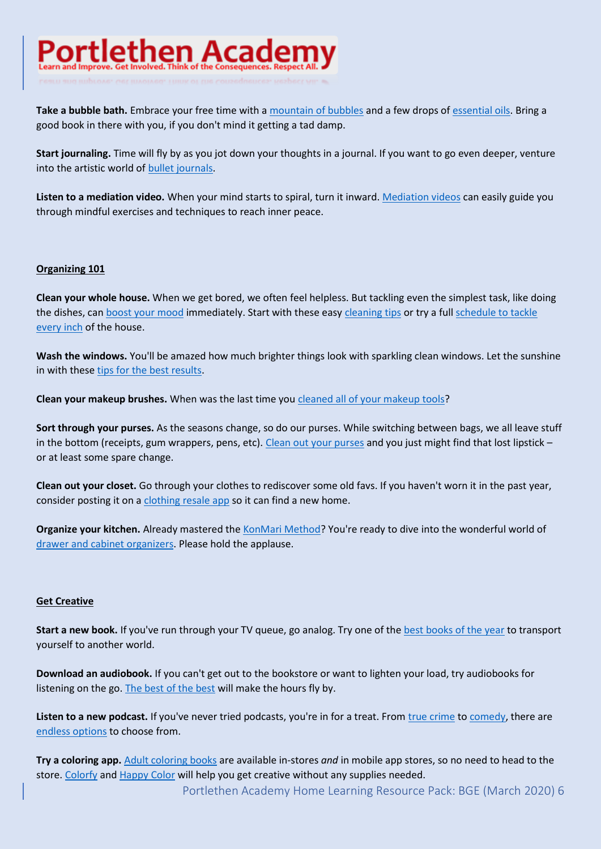

**Take a bubble bath.** Embrace your free time with a [mountain of bubbles](https://www.amazon.com/Best-Sellers-Beauty-Bubble-Bath/zgbs/beauty/11056241?tag=goodhousekeeping_auto-append-20&ascsubtag=%5bartid|10055.a.26872864%5bsrc|%5bch|%5blt|) and a few drops o[f essential oils.](https://www.goodhousekeeping.com/health/wellness/a20707661/essential-oils-in-bath/) Bring a good book in there with you, if you don't mind it getting a tad damp.

**Start journaling.** Time will fly by as you jot down your thoughts in a journal. If you want to go even deeper, venture into the artistic world o[f bullet journals.](https://www.goodhousekeeping.com/life/a25940356/what-is-a-bullet-journal/)

**Listen to a mediation video.** When your mind starts to spiral, turn it inward. [Mediation videos](https://www.goodhousekeeping.com/health/wellness/g4585/meditation-videos/) can easily guide you through mindful exercises and techniques to reach inner peace.

#### **Organizing 101**

**Clean your whole house.** When we get bored, we often feel helpless. But tackling even the simplest task, like doing the dishes, can [boost your mood](https://www.goodhousekeeping.com/health/wellness/a26898773/how-cleaning-helps-anxiety/) immediately. Start with these eas[y cleaning tips](https://www.goodhousekeeping.com/home/cleaning/g2550/best-cleaning-tips/) or try a full schedule to tackle [every inch](https://www.goodhousekeeping.com/home/cleaning/a37462/how-often-you-should-clean-everything/) of the house.

**Wash the windows.** You'll be amazed how much brighter things look with sparkling clean windows. Let the sunshine in with these [tips for the best results.](https://www.goodhousekeeping.com/home/cleaning/tips/a32040/mistakes-cleaning-windows/)

**Clean your makeup brushes.** When was the last time you [cleaned all of your makeup tools?](https://www.goodhousekeeping.com/beauty/makeup/g2822/how-to-clean-makeup-brushes/)

**Sort through your purses.** As the seasons change, so do our purses. While switching between bags, we all leave stuff in the bottom (receipts, gum wrappers, pens, etc). [Clean out your purses](https://www.goodhousekeeping.com/home/organizing/g26256600/best-handbag-organizers/) and you just might find that lost lipstick or at least some spare change.

**Clean out your closet.** Go through your clothes to rediscover some old favs. If you haven't worn it in the past year, consider posting it on [a clothing resale app](https://www.goodhousekeeping.com/clothing/g26236592/best-fashion-clothing-apps/) so it can find a new home.

**Organize your kitchen.** Already mastered the [KonMari Method?](https://www.goodhousekeeping.com/home/organizing/a25846191/what-is-the-konmari-method/) You're ready to dive into the wonderful world of [drawer and cabinet organizers.](https://www.goodhousekeeping.com/home/organizing/g26899393/kitchen-cabinet-drawers-organizers/) Please hold the applause.

#### **Get Creative**

**Start a new book.** If you've run through your TV queue, go analog. Try one of the [best books of the year](https://www.goodhousekeeping.com/life/entertainment/g30456677/best-books-of-2020/) to transport yourself to another world.

**Download an audiobook.** If you can't get out to the bookstore or want to lighten your load, try audiobooks for listening on the go. [The best of the best](https://www.goodhousekeeping.com/life/entertainment/g27180112/best-audiobooks/) will make the hours fly by.

Listen to a new podcast. If you've never tried podcasts, you're in for a treat. From [true crime](https://www.goodhousekeeping.com/life/entertainment/g27009615/best-true-crime-podcasts/) to [comedy,](https://www.goodhousekeeping.com/life/entertainment/g28509486/best-comedy-podcasts/) there are [endless options](https://www.goodhousekeeping.com/life/entertainment/g28353940/best-podcasts/) to choose from.

**Try a coloring app.** [Adult coloring books](https://www.goodhousekeeping.com/health/wellness/a35494/using-coloring-books-deal-with-anxiety/) are available in-stores *and* in mobile app stores, so no need to head to the store. [Colorfy](https://go.redirectingat.com/?id=74968X1525078&xs=1&url=https%3A%2F%2Fitunes.apple.com%2Fus%2Fapp%2Fcolorfy-coloring-art-game%2Fid1009442510%3Fmt%3D8&sref=https%3A%2F%2Fwww.goodhousekeeping.com%2Flife%2Fa26872864%2Fwhat-to-do-when-bored%2F%3Fpre%3Dlife%252F%26prefix%3Da%26id%3D26872864%26del%3D%26variantId%3D%26post%3D%252Fwhat-to-do-when-bored) and [Happy Color](https://go.redirectingat.com/?id=74968X1525078&xs=1&url=https%3A%2F%2Fitunes.apple.com%2Fus%2Fapp%2Fhappy-color-color-by-number%2Fid1407852246%3Fmt%3D8&sref=https%3A%2F%2Fwww.goodhousekeeping.com%2Flife%2Fa26872864%2Fwhat-to-do-when-bored%2F%3Fpre%3Dlife%252F%26prefix%3Da%26id%3D26872864%26del%3D%26variantId%3D%26post%3D%252Fwhat-to-do-when-bored) will help you get creative without any supplies needed.

Portlethen Academy Home Learning Resource Pack: BGE (March 2020) 6